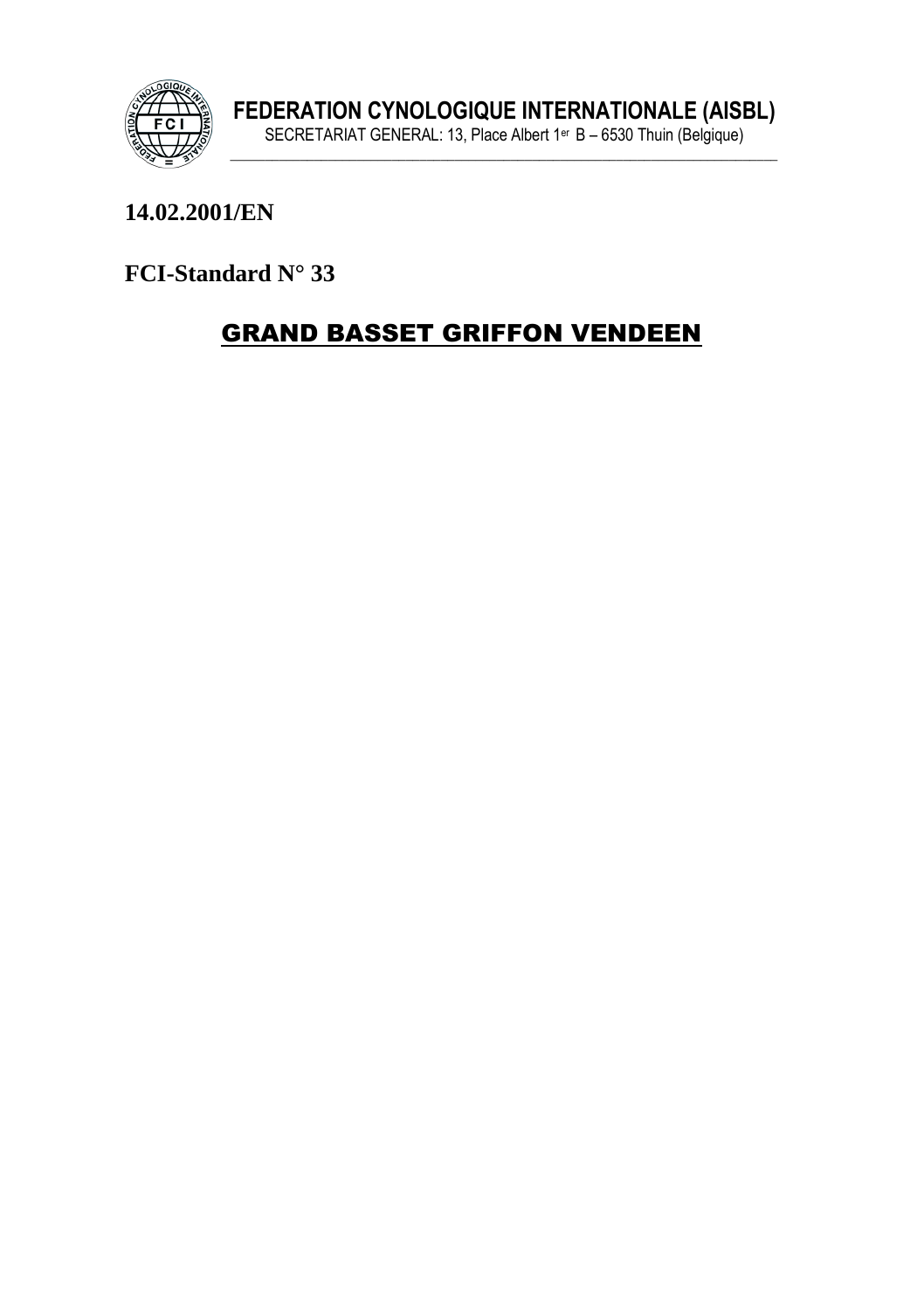

# 14.02.2001/EN

FCI-Standard N° 33

# **GRAND BASSET GRIFFON VENDEEN**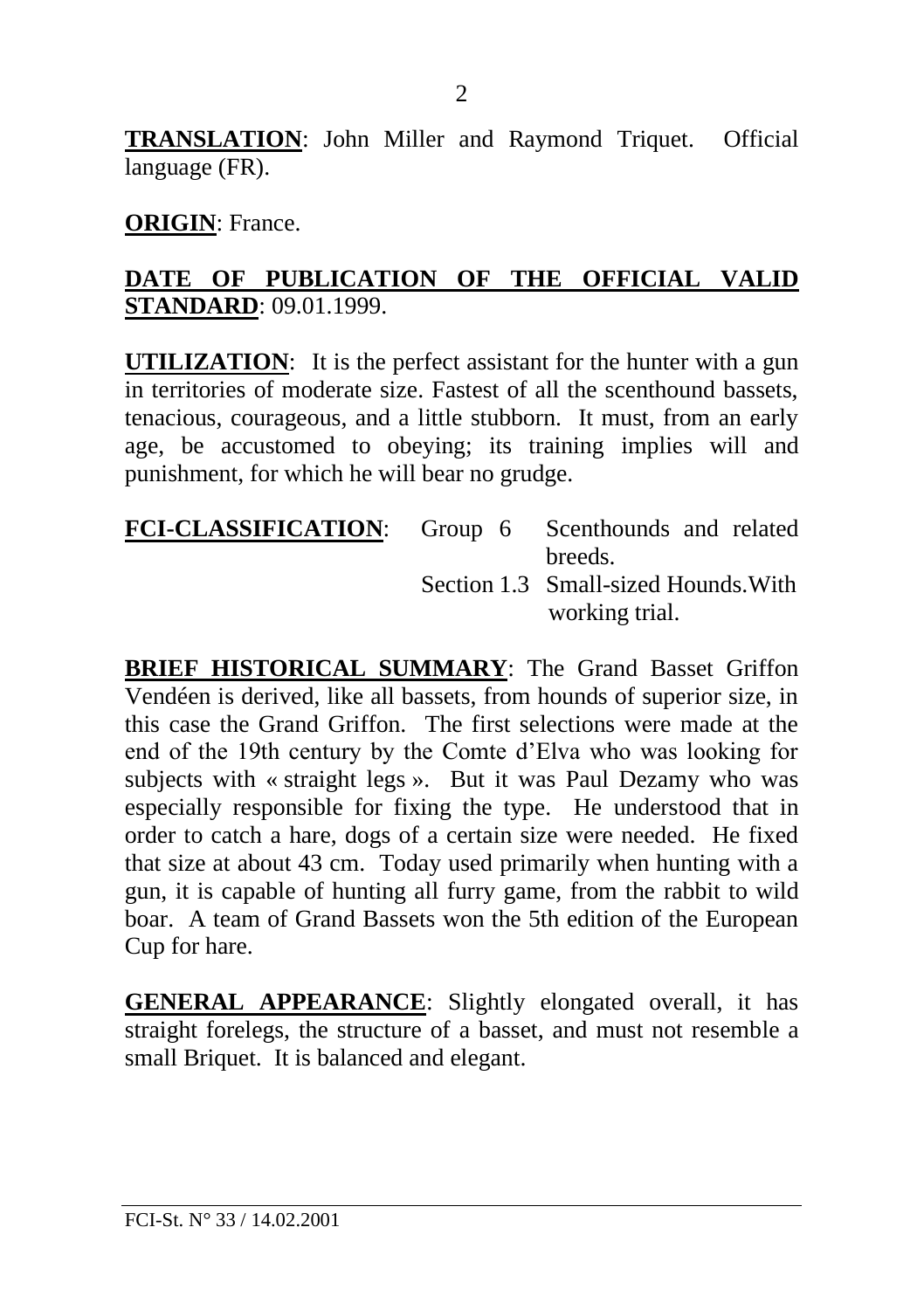**TRANSLATION**: John Miller and Raymond Triquet. Official language (FR).

#### **ORIGIN**: France.

#### **DATE OF PUBLICATION OF THE OFFICIAL VALID STANDARD**: 09.01.1999.

**UTILIZATION**: It is the perfect assistant for the hunter with a gun in territories of moderate size. Fastest of all the scenthound bassets tenacious, courageous, and a little stubborn. It must, from an early age, be accustomed to obeying; its training implies will and punishment, for which he will bear no grudge.

| FCI-CLASSIFICATION: Group 6 Scenthounds and related |                                     |
|-----------------------------------------------------|-------------------------------------|
|                                                     | breeds.                             |
|                                                     | Section 1.3 Small-sized Hounds With |
|                                                     | working trial.                      |

**BRIEF HISTORICAL SUMMARY**: The Grand Basset Griffon Vendéen is derived, like all bassets, from hounds of superior size, in this case the Grand Griffon. The first selections were made at the end of the 19th century by the Comte d'Elva who was looking for subjects with « straight legs ». But it was Paul Dezamy who was especially responsible for fixing the type. He understood that in order to catch a hare, dogs of a certain size were needed. He fixed that size at about 43 cm. Today used primarily when hunting with a gun, it is capable of hunting all furry game, from the rabbit to wild boar. A team of Grand Bassets won the 5th edition of the European Cup for hare.

**GENERAL APPEARANCE**: Slightly elongated overall, it has straight forelegs, the structure of a basset, and must not resemble a small Briquet. It is balanced and elegant.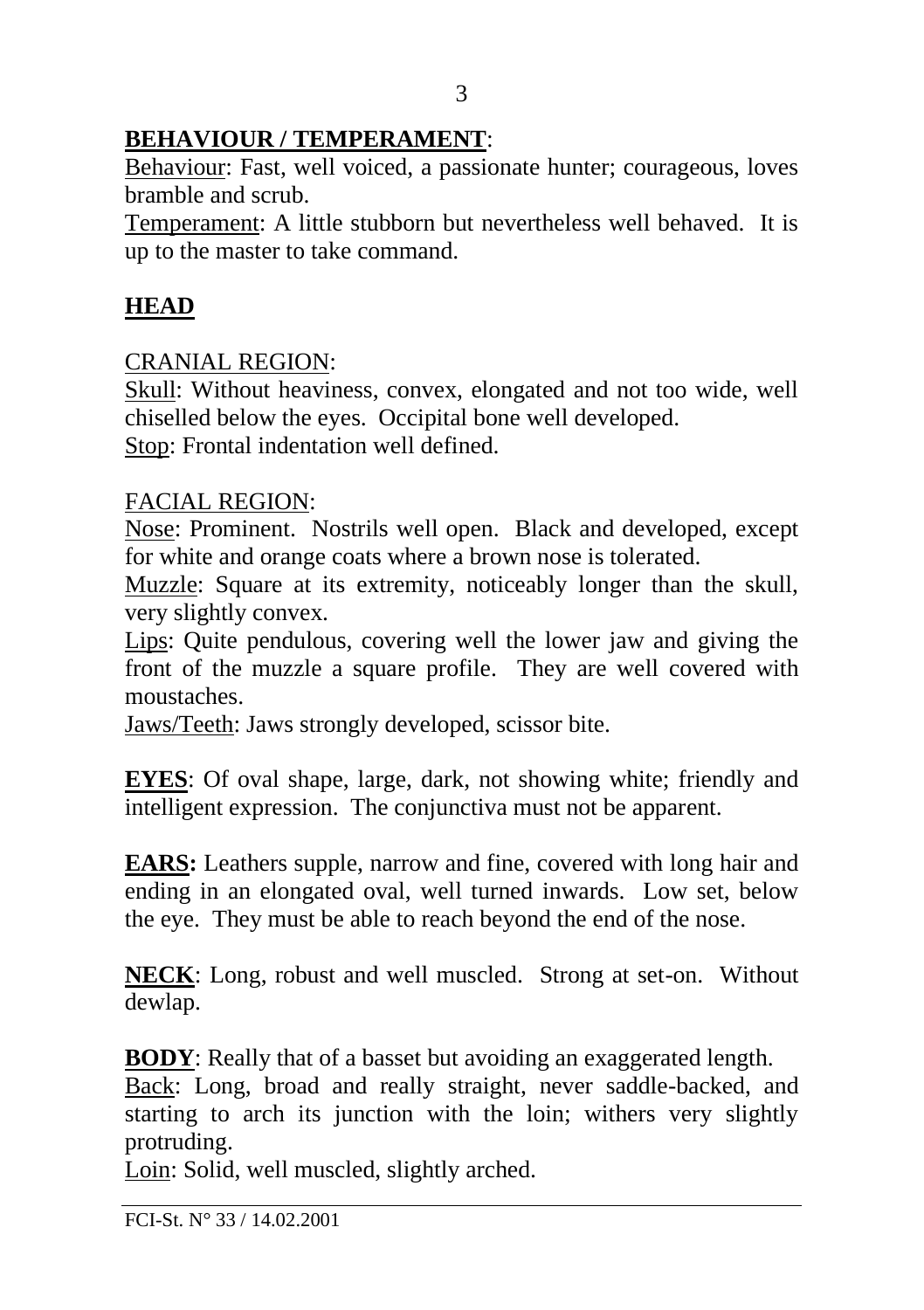# **BEHAVIOUR / TEMPERAMENT**:

Behaviour: Fast, well voiced, a passionate hunter; courageous, loves bramble and scrub.

Temperament: A little stubborn but nevertheless well behaved. It is up to the master to take command.

# **HEAD**

### CRANIAL REGION:

Skull: Without heaviness, convex, elongated and not too wide, well chiselled below the eyes. Occipital bone well developed.

Stop: Frontal indentation well defined.

### FACIAL REGION:

Nose: Prominent. Nostrils well open. Black and developed, except for white and orange coats where a brown nose is tolerated.

Muzzle: Square at its extremity, noticeably longer than the skull, very slightly convex.

Lips: Quite pendulous, covering well the lower jaw and giving the front of the muzzle a square profile. They are well covered with moustaches.

Jaws/Teeth: Jaws strongly developed, scissor bite.

**EYES**: Of oval shape, large, dark, not showing white; friendly and intelligent expression. The conjunctiva must not be apparent.

**EARS:** Leathers supple, narrow and fine, covered with long hair and ending in an elongated oval, well turned inwards. Low set, below the eye. They must be able to reach beyond the end of the nose.

**NECK**: Long, robust and well muscled. Strong at set-on. Without dewlap.

**BODY**: Really that of a basset but avoiding an exaggerated length.

Back: Long, broad and really straight, never saddle-backed, and starting to arch its junction with the loin; withers very slightly protruding.

Loin: Solid, well muscled, slightly arched.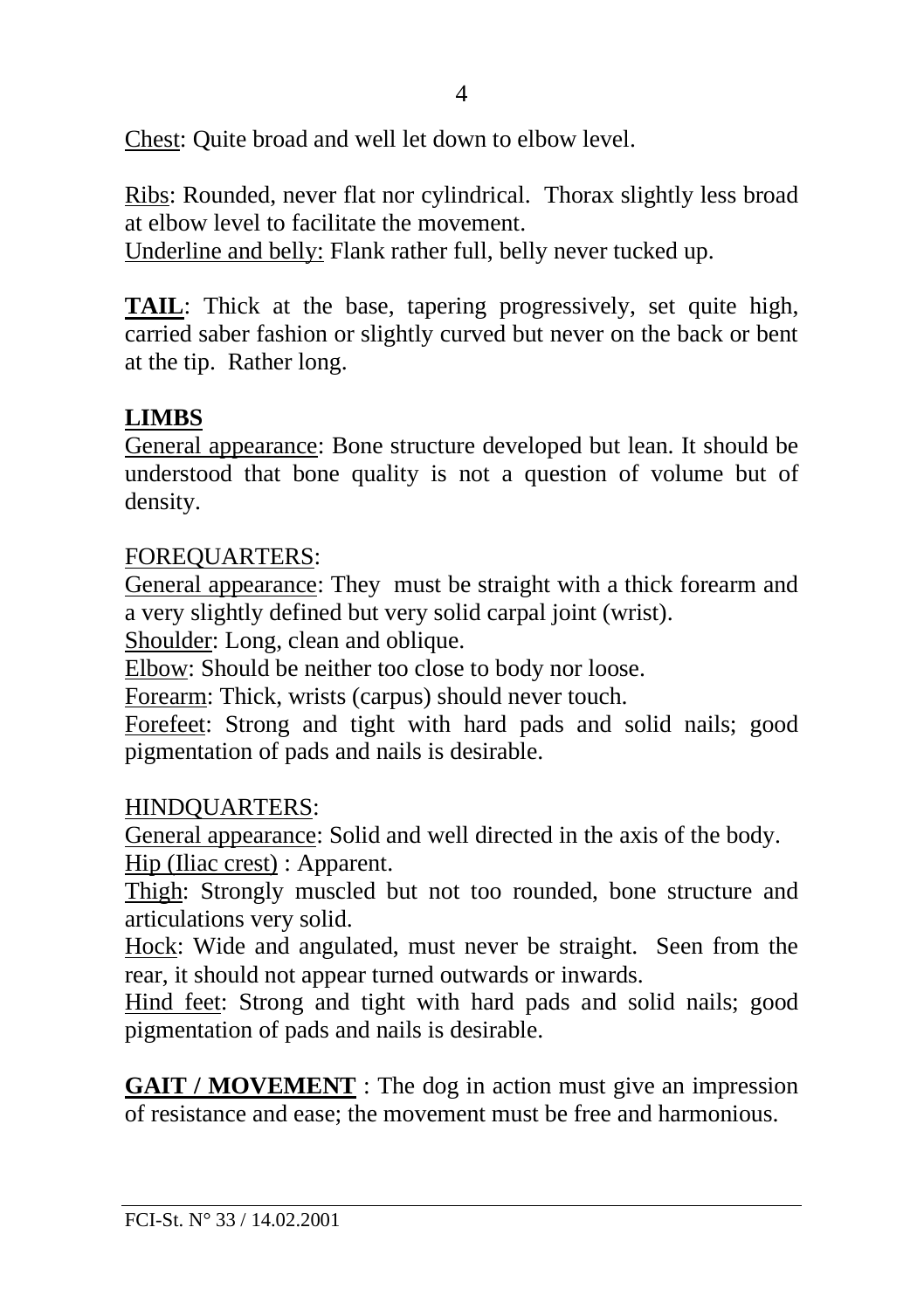Chest: Quite broad and well let down to elbow level.

Ribs: Rounded, never flat nor cylindrical. Thorax slightly less broad at elbow level to facilitate the movement.

Underline and belly: Flank rather full, belly never tucked up.

**TAIL**: Thick at the base, tapering progressively, set quite high, carried saber fashion or slightly curved but never on the back or bent at the tip. Rather long.

# **LIMBS**

General appearance: Bone structure developed but lean. It should be understood that bone quality is not a question of volume but of density.

### FOREQUARTERS:

General appearance: They must be straight with a thick forearm and a very slightly defined but very solid carpal joint (wrist).

Shoulder: Long, clean and oblique.

Elbow: Should be neither too close to body nor loose.

Forearm: Thick, wrists (carpus) should never touch.

Forefeet: Strong and tight with hard pads and solid nails; good pigmentation of pads and nails is desirable.

### HINDQUARTERS:

General appearance: Solid and well directed in the axis of the body.

Hip (Iliac crest) : Apparent.

Thigh: Strongly muscled but not too rounded, bone structure and articulations very solid.

Hock: Wide and angulated, must never be straight. Seen from the rear, it should not appear turned outwards or inwards.

Hind feet: Strong and tight with hard pads and solid nails; good pigmentation of pads and nails is desirable.

**GAIT / MOVEMENT** : The dog in action must give an impression of resistance and ease; the movement must be free and harmonious.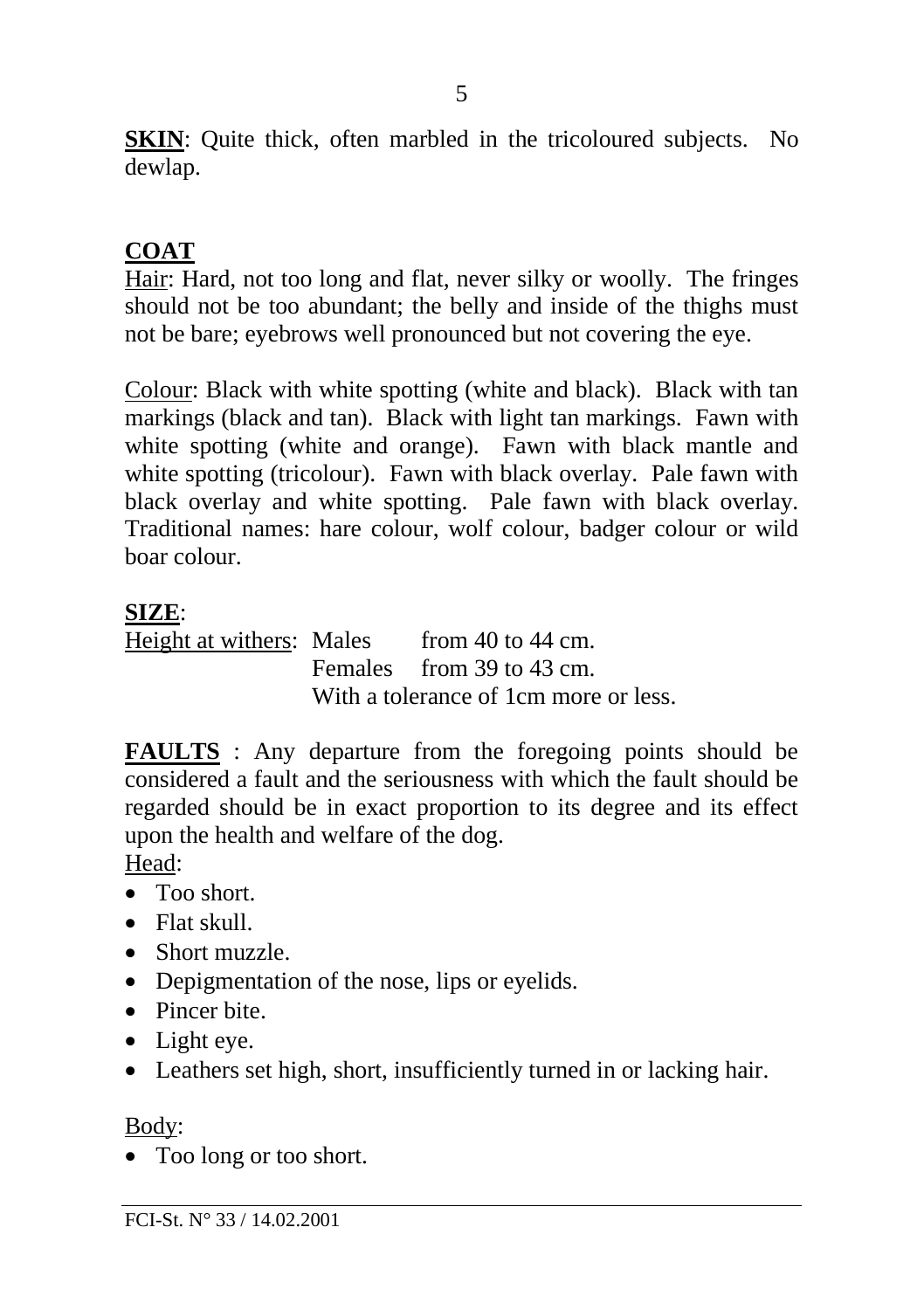**SKIN**: Quite thick, often marbled in the tricoloured subjects. No dewlap.

# **COAT**

Hair: Hard, not too long and flat, never silky or woolly. The fringes should not be too abundant; the belly and inside of the thighs must not be bare; eyebrows well pronounced but not covering the eye.

Colour: Black with white spotting (white and black). Black with tan markings (black and tan). Black with light tan markings. Fawn with white spotting (white and orange). Fawn with black mantle and white spotting (tricolour). Fawn with black overlay. Pale fawn with black overlay and white spotting. Pale fawn with black overlay. Traditional names: hare colour, wolf colour, badger colour or wild boar colour.

# **SIZE**:

Height at withers: Males from 40 to 44 cm. Females from 39 to 43 cm. With a tolerance of 1cm more or less.

**FAULTS** : Any departure from the foregoing points should be considered a fault and the seriousness with which the fault should be regarded should be in exact proportion to its degree and its effect upon the health and welfare of the dog.

Head:

- Too short.
- Flat skull.
- Short muzzle.
- Depigmentation of the nose, lips or eyelids.
- Pincer bite.
- Light eye.
- Leathers set high, short, insufficiently turned in or lacking hair.

Body:

• Too long or too short.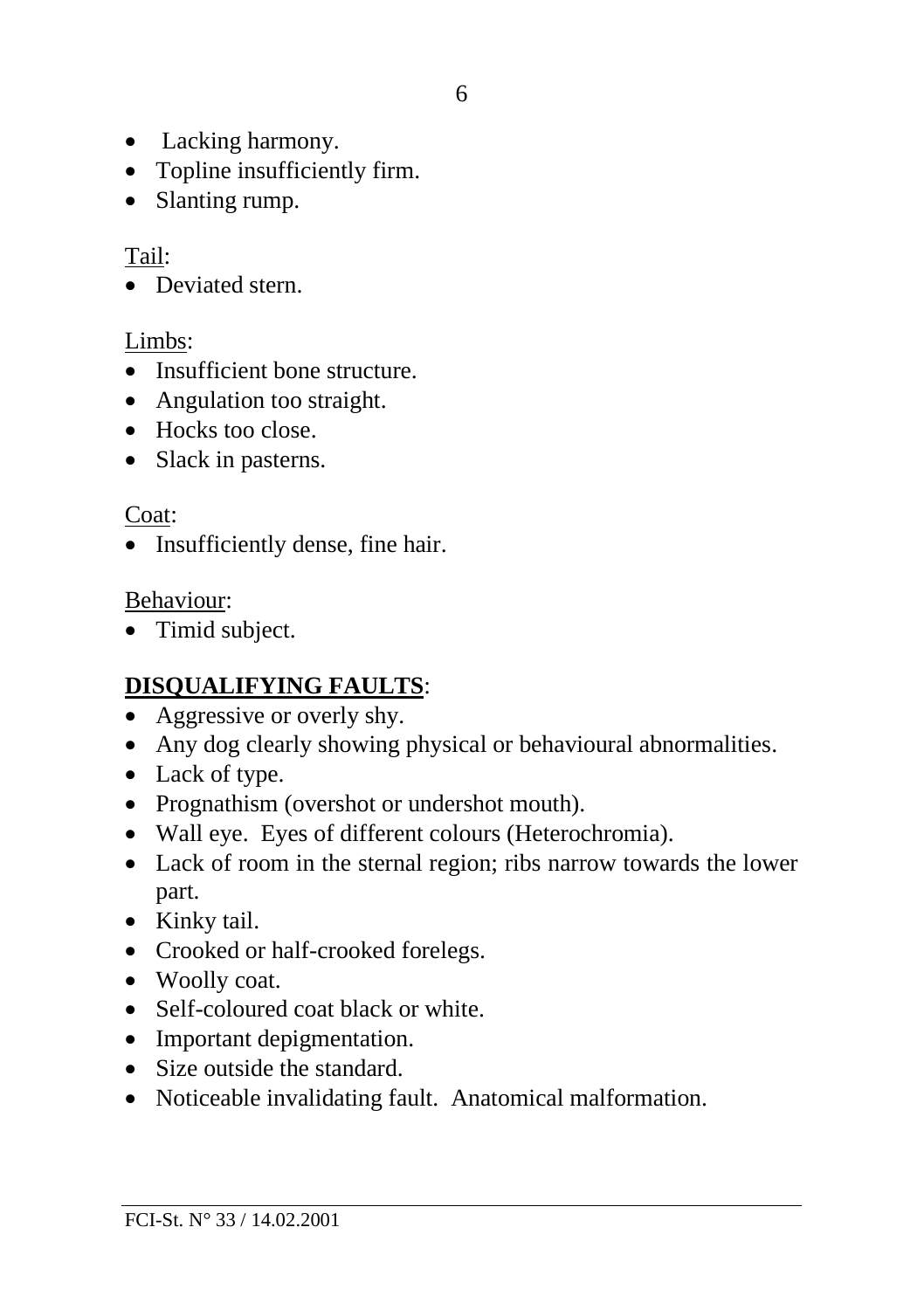- Lacking harmony.
- Topline insufficiently firm.
- Slanting rump.

# Tail:

• Deviated stern.

### Limbs:

- Insufficient bone structure.
- Angulation too straight.
- Hocks too close.
- Slack in pasterns.

### Coat:

• Insufficiently dense, fine hair.

### Behaviour:

• Timid subject.

# **DISQUALIFYING FAULTS**:

- Aggressive or overly shy.
- Any dog clearly showing physical or behavioural abnormalities.
- Lack of type.
- Prognathism (overshot or undershot mouth).
- Wall eye. Eyes of different colours (Heterochromia).
- Lack of room in the sternal region; ribs narrow towards the lower part.
- Kinky tail.
- Crooked or half-crooked forelegs.
- Woolly coat.
- Self-coloured coat black or white.
- Important depigmentation.
- Size outside the standard.
- Noticeable invalidating fault. Anatomical malformation.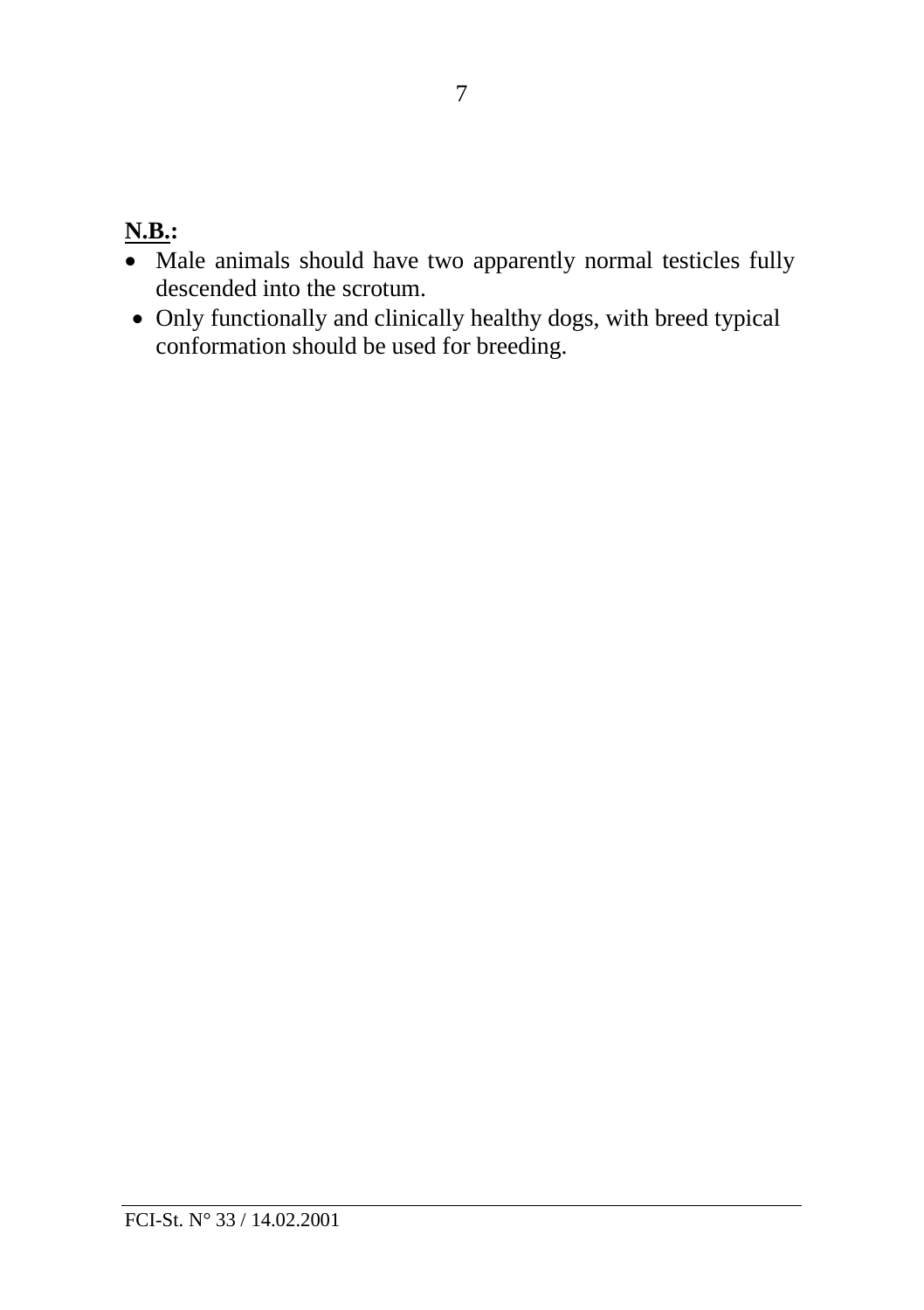# **N.B.:**

- Male animals should have two apparently normal testicles fully descended into the scrotum.
- Only functionally and clinically healthy dogs, with breed typical conformation should be used for breeding.